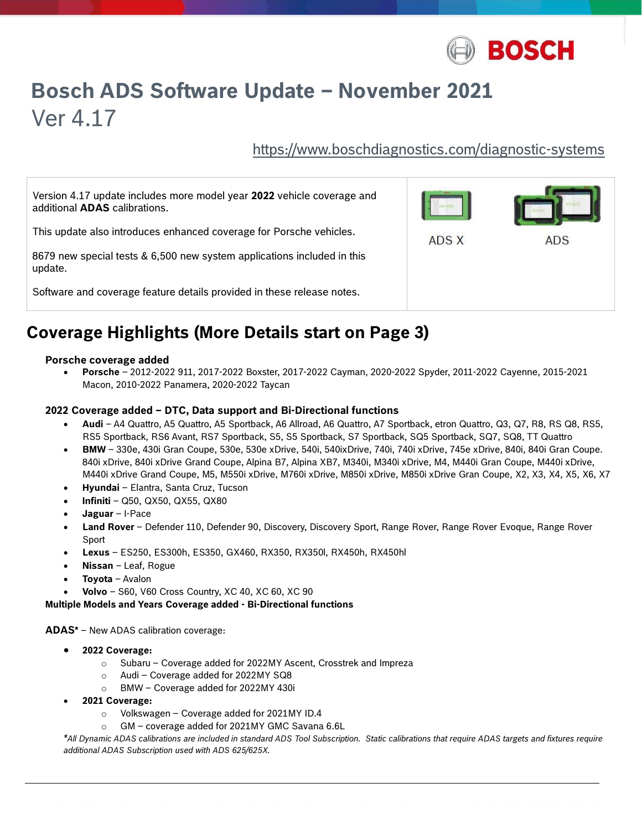

# Bosch ADS Software Update – November 2021 Ver 4.17

https://www.boschdiagnostics.com/diagnostic-systems

| Version 4.17 update includes more model year 2022 vehicle coverage and<br>additional <b>ADAS</b> calibrations. |       |     |
|----------------------------------------------------------------------------------------------------------------|-------|-----|
| This update also introduces enhanced coverage for Porsche vehicles.                                            | ADS X | ADS |
| 8679 new special tests & 6,500 new system applications included in this<br>update.                             |       |     |
| Software and coverage feature details provided in these release notes.                                         |       |     |

## Coverage Highlights (More Details start on Page 3)

#### Porsche coverage added

 Porsche – 2012-2022 911, 2017-2022 Boxster, 2017-2022 Cayman, 2020-2022 Spyder, 2011-2022 Cayenne, 2015-2021 Macon, 2010-2022 Panamera, 2020-2022 Taycan

#### 2022 Coverage added – DTC, Data support and Bi-Directional functions

- Audi A4 Quattro, A5 Quattro, A5 Sportback, A6 Allroad, A6 Quattro, A7 Sportback, etron Quattro, Q3, Q7, R8, RS Q8, RS5, RS5 Sportback, RS6 Avant, RS7 Sportback, S5, S5 Sportback, S7 Sportback, SQ5 Sportback, SQ7, SQ8, TT Quattro
- BMW 330e, 430i Gran Coupe, 530e, 530e xDrive, 540i, 540ixDrive, 740i, 740i xDrive, 745e xDrive, 840i, 840i Gran Coupe. 840i xDrive, 840i xDrive Grand Coupe, Alpina B7, Alpina XB7, M340i, M340i xDrive, M4, M440i Gran Coupe, M440i xDrive, M440i xDrive Grand Coupe, M5, M550i xDrive, M760i xDrive, M850i xDrive, M850i xDrive Gran Coupe, X2, X3, X4, X5, X6, X7
- Hyundai Elantra, Santa Cruz, Tucson
- $\bullet$  Infiniti Q50, QX50, QX55, QX80
- Jaguar I-Pace
- Land Rover Defender 110, Defender 90, Discovery, Discovery Sport, Range Rover, Range Rover Evoque, Range Rover Sport
- Lexus ES250, ES300h, ES350, GX460, RX350, RX350l, RX450h, RX450hl
- Nissan Leaf, Rogue
- Toyota Avalon
- Volvo S60, V60 Cross Country, XC 40, XC 60, XC 90

Multiple Models and Years Coverage added - Bi-Directional functions

ADAS\* – New ADAS calibration coverage:

- 2022 Coverage:
	- o Subaru Coverage added for 2022MY Ascent, Crosstrek and Impreza
	- o Audi Coverage added for 2022MY SQ8
	- o BMW Coverage added for 2022MY 430i
- 2021 Coverage:

 $\overline{a}$ 

- o Volkswagen Coverage added for 2021MY ID.4
- o GM coverage added for 2021MY GMC Savana 6.6L

\*All Dynamic ADAS calibrations are included in standard ADS Tool Subscription. Static calibrations that require ADAS targets and fixtures require additional ADAS Subscription used with ADS 625/625X.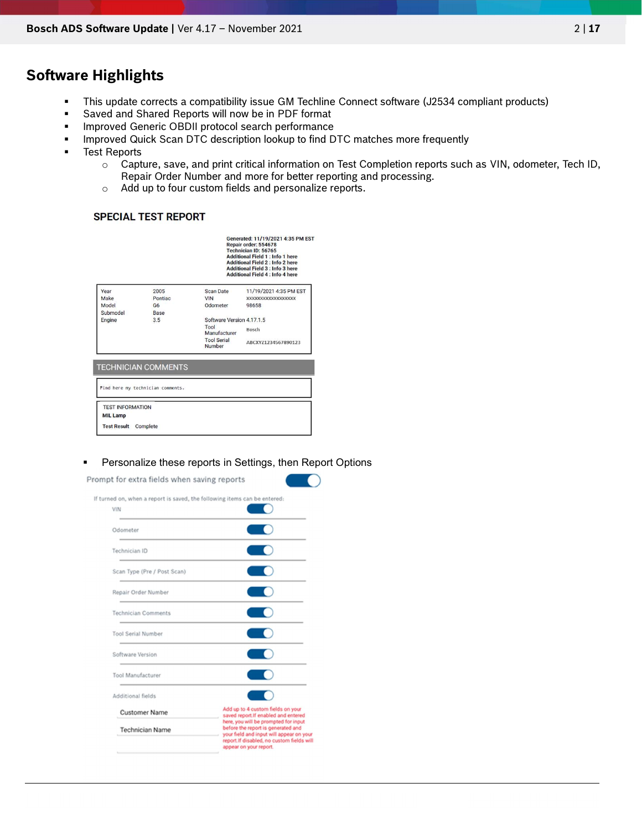## Software Highlights

- This update corrects a compatibility issue GM Techline Connect software (J2534 compliant products)
- Saved and Shared Reports will now be in PDF format
- **Improved Generic OBDII protocol search performance**
- **IMPROVED QUAREN SCAN DTC description lookup to find DTC matches more frequently**
- **Test Reports** 
	- o Capture, save, and print critical information on Test Completion reports such as VIN, odometer, Tech ID, Repair Order Number and more for better reporting and processing.
	- o Add up to four custom fields and personalize reports.

#### **SPECIAL TEST REPORT**

| 2005<br>Scan Date<br>11/19/2021 4:35 PM EST<br>Pontiac<br><b>VIN</b><br>XXXXXXXXXXXXXXXXXX<br>Odometer<br>98658<br>G <sub>6</sub><br>Base<br>Software Version 4 17 1 5<br>3.5<br>Tool<br>Bosch<br>Manufacturer<br><b>Tool Serial</b><br>ABCXYZ1234567890123<br>Number |                                             | Generated: 11/19/2021 4:35 PM EST<br>Repair order: 554678<br>Technician ID: 56765<br><b>Additional Field 1 : Info 1 here</b><br><b>Additional Field 2: Info 2 here</b><br><b>Additional Field 3: Info 3 here</b><br><b>Additional Field 4 : Info 4 here</b> |  |  |
|-----------------------------------------------------------------------------------------------------------------------------------------------------------------------------------------------------------------------------------------------------------------------|---------------------------------------------|-------------------------------------------------------------------------------------------------------------------------------------------------------------------------------------------------------------------------------------------------------------|--|--|
|                                                                                                                                                                                                                                                                       | Year<br>Make<br>Model<br>Submodel<br>Engine |                                                                                                                                                                                                                                                             |  |  |

#### **•** Personalize these reports in Settings, then Report Options

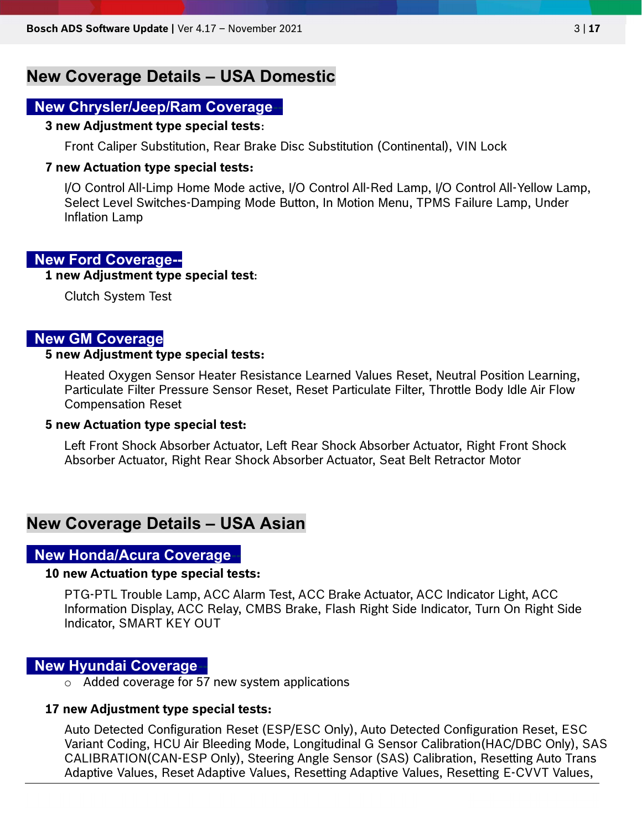## New Coverage Details – USA Domestic

## New Chrysler/Jeep/Ram Coverage--

#### 3 new Adjustment type special tests:

Front Caliper Substitution, Rear Brake Disc Substitution (Continental), VIN Lock

#### 7 new Actuation type special tests:

I/O Control All-Limp Home Mode active, I/O Control All-Red Lamp, I/O Control All-Yellow Lamp, Select Level Switches-Damping Mode Button, In Motion Menu, TPMS Failure Lamp, Under Inflation Lamp

#### New Ford Coverage--

#### 1 new Adjustment type special test:

Clutch System Test

## New GM Coverage

#### 5 new Adjustment type special tests:

Heated Oxygen Sensor Heater Resistance Learned Values Reset, Neutral Position Learning, Particulate Filter Pressure Sensor Reset, Reset Particulate Filter, Throttle Body Idle Air Flow Compensation Reset

#### 5 new Actuation type special test:

Left Front Shock Absorber Actuator, Left Rear Shock Absorber Actuator, Right Front Shock Absorber Actuator, Right Rear Shock Absorber Actuator, Seat Belt Retractor Motor

## New Coverage Details – USA Asian

### **New Honda/Acura Coverage-**

#### 10 new Actuation type special tests:

PTG-PTL Trouble Lamp, ACC Alarm Test, ACC Brake Actuator, ACC Indicator Light, ACC Information Display, ACC Relay, CMBS Brake, Flash Right Side Indicator, Turn On Right Side Indicator, SMART KEY OUT

#### New Hyundai Coverage--

o Added coverage for 57 new system applications

#### 17 new Adjustment type special tests:

Auto Detected Configuration Reset (ESP/ESC Only), Auto Detected Configuration Reset, ESC Variant Coding, HCU Air Bleeding Mode, Longitudinal G Sensor Calibration(HAC/DBC Only), SAS CALIBRATION(CAN-ESP Only), Steering Angle Sensor (SAS) Calibration, Resetting Auto Trans Adaptive Values, Reset Adaptive Values, Resetting Adaptive Values, Resetting E-CVVT Values,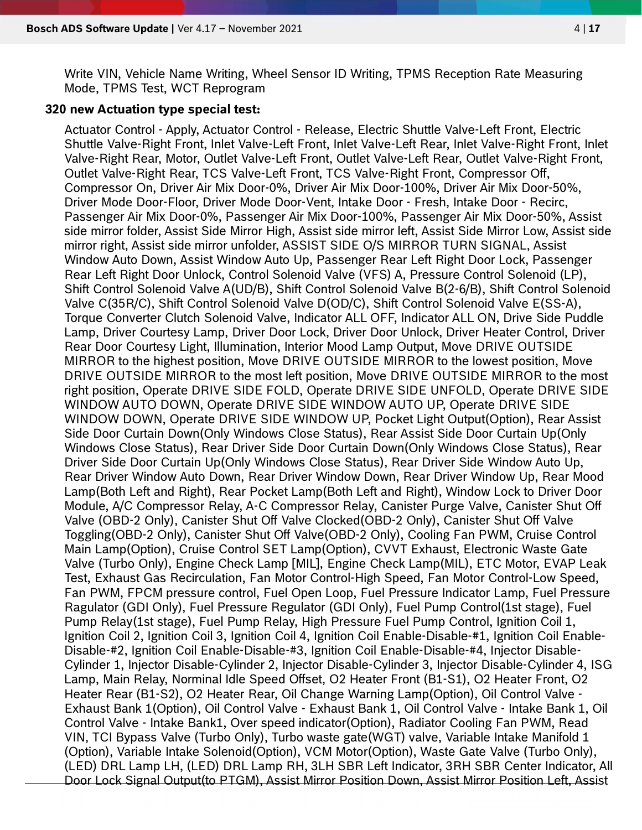Write VIN, Vehicle Name Writing, Wheel Sensor ID Writing, TPMS Reception Rate Measuring Mode, TPMS Test, WCT Reprogram

#### 320 new Actuation type special test:

Actuator Control - Apply, Actuator Control - Release, Electric Shuttle Valve-Left Front, Electric Shuttle Valve-Right Front, Inlet Valve-Left Front, Inlet Valve-Left Rear, Inlet Valve-Right Front, Inlet Valve-Right Rear, Motor, Outlet Valve-Left Front, Outlet Valve-Left Rear, Outlet Valve-Right Front, Outlet Valve-Right Rear, TCS Valve-Left Front, TCS Valve-Right Front, Compressor Off, Compressor On, Driver Air Mix Door-0%, Driver Air Mix Door-100%, Driver Air Mix Door-50%, Driver Mode Door-Floor, Driver Mode Door-Vent, Intake Door - Fresh, Intake Door - Recirc, Passenger Air Mix Door-0%, Passenger Air Mix Door-100%, Passenger Air Mix Door-50%, Assist side mirror folder, Assist Side Mirror High, Assist side mirror left, Assist Side Mirror Low, Assist side mirror right, Assist side mirror unfolder, ASSIST SIDE O/S MIRROR TURN SIGNAL, Assist Window Auto Down, Assist Window Auto Up, Passenger Rear Left Right Door Lock, Passenger Rear Left Right Door Unlock, Control Solenoid Valve (VFS) A, Pressure Control Solenoid (LP), Shift Control Solenoid Valve A(UD/B), Shift Control Solenoid Valve B(2-6/B), Shift Control Solenoid Valve C(35R/C), Shift Control Solenoid Valve D(OD/C), Shift Control Solenoid Valve E(SS-A), Torque Converter Clutch Solenoid Valve, Indicator ALL OFF, Indicator ALL ON, Drive Side Puddle Lamp, Driver Courtesy Lamp, Driver Door Lock, Driver Door Unlock, Driver Heater Control, Driver Rear Door Courtesy Light, Illumination, Interior Mood Lamp Output, Move DRIVE OUTSIDE MIRROR to the highest position, Move DRIVE OUTSIDE MIRROR to the lowest position, Move DRIVE OUTSIDE MIRROR to the most left position, Move DRIVE OUTSIDE MIRROR to the most right position, Operate DRIVE SIDE FOLD, Operate DRIVE SIDE UNFOLD, Operate DRIVE SIDE WINDOW AUTO DOWN, Operate DRIVE SIDE WINDOW AUTO UP, Operate DRIVE SIDE WINDOW DOWN, Operate DRIVE SIDE WINDOW UP, Pocket Light Output(Option), Rear Assist Side Door Curtain Down(Only Windows Close Status), Rear Assist Side Door Curtain Up(Only Windows Close Status), Rear Driver Side Door Curtain Down(Only Windows Close Status), Rear Driver Side Door Curtain Up(Only Windows Close Status), Rear Driver Side Window Auto Up, Rear Driver Window Auto Down, Rear Driver Window Down, Rear Driver Window Up, Rear Mood Lamp(Both Left and Right), Rear Pocket Lamp(Both Left and Right), Window Lock to Driver Door Module, A/C Compressor Relay, A-C Compressor Relay, Canister Purge Valve, Canister Shut Off Valve (OBD-2 Only), Canister Shut Off Valve Clocked(OBD-2 Only), Canister Shut Off Valve Toggling(OBD-2 Only), Canister Shut Off Valve(OBD-2 Only), Cooling Fan PWM, Cruise Control Main Lamp(Option), Cruise Control SET Lamp(Option), CVVT Exhaust, Electronic Waste Gate Valve (Turbo Only), Engine Check Lamp [MIL], Engine Check Lamp(MIL), ETC Motor, EVAP Leak Test, Exhaust Gas Recirculation, Fan Motor Control-High Speed, Fan Motor Control-Low Speed, Fan PWM, FPCM pressure control, Fuel Open Loop, Fuel Pressure Indicator Lamp, Fuel Pressure Ragulator (GDI Only), Fuel Pressure Regulator (GDI Only), Fuel Pump Control(1st stage), Fuel Pump Relay(1st stage), Fuel Pump Relay, High Pressure Fuel Pump Control, Ignition Coil 1, Ignition Coil 2, Ignition Coil 3, Ignition Coil 4, Ignition Coil Enable-Disable-#1, Ignition Coil Enable-Disable-#2, Ignition Coil Enable-Disable-#3, Ignition Coil Enable-Disable-#4, Injector Disable-Cylinder 1, Injector Disable-Cylinder 2, Injector Disable-Cylinder 3, Injector Disable-Cylinder 4, ISG Lamp, Main Relay, Norminal Idle Speed Offset, O2 Heater Front (B1-S1), O2 Heater Front, O2 Heater Rear (B1-S2), O2 Heater Rear, Oil Change Warning Lamp(Option), Oil Control Valve - Exhaust Bank 1(Option), Oil Control Valve - Exhaust Bank 1, Oil Control Valve - Intake Bank 1, Oil Control Valve - Intake Bank1, Over speed indicator(Option), Radiator Cooling Fan PWM, Read VIN, TCI Bypass Valve (Turbo Only), Turbo waste gate(WGT) valve, Variable Intake Manifold 1 (Option), Variable Intake Solenoid(Option), VCM Motor(Option), Waste Gate Valve (Turbo Only), (LED) DRL Lamp LH, (LED) DRL Lamp RH, 3LH SBR Left Indicator, 3RH SBR Center Indicator, All Door Lock Signal Output(to PTGM), Assist Mirror Position Down, Assist Mirror Position Left, Assist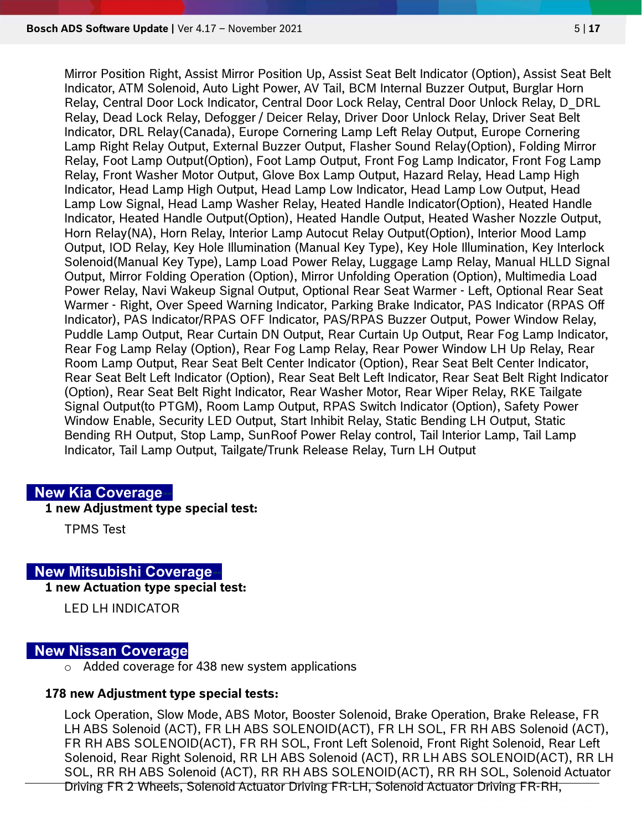Mirror Position Right, Assist Mirror Position Up, Assist Seat Belt Indicator (Option), Assist Seat Belt Indicator, ATM Solenoid, Auto Light Power, AV Tail, BCM Internal Buzzer Output, Burglar Horn Relay, Central Door Lock Indicator, Central Door Lock Relay, Central Door Unlock Relay, D\_DRL Relay, Dead Lock Relay, Defogger / Deicer Relay, Driver Door Unlock Relay, Driver Seat Belt Indicator, DRL Relay(Canada), Europe Cornering Lamp Left Relay Output, Europe Cornering Lamp Right Relay Output, External Buzzer Output, Flasher Sound Relay(Option), Folding Mirror Relay, Foot Lamp Output(Option), Foot Lamp Output, Front Fog Lamp Indicator, Front Fog Lamp Relay, Front Washer Motor Output, Glove Box Lamp Output, Hazard Relay, Head Lamp High Indicator, Head Lamp High Output, Head Lamp Low Indicator, Head Lamp Low Output, Head Lamp Low Signal, Head Lamp Washer Relay, Heated Handle Indicator(Option), Heated Handle Indicator, Heated Handle Output(Option), Heated Handle Output, Heated Washer Nozzle Output, Horn Relay(NA), Horn Relay, Interior Lamp Autocut Relay Output(Option), Interior Mood Lamp Output, IOD Relay, Key Hole Illumination (Manual Key Type), Key Hole Illumination, Key Interlock Solenoid(Manual Key Type), Lamp Load Power Relay, Luggage Lamp Relay, Manual HLLD Signal Output, Mirror Folding Operation (Option), Mirror Unfolding Operation (Option), Multimedia Load Power Relay, Navi Wakeup Signal Output, Optional Rear Seat Warmer - Left, Optional Rear Seat Warmer - Right, Over Speed Warning Indicator, Parking Brake Indicator, PAS Indicator (RPAS Off Indicator), PAS Indicator/RPAS OFF Indicator, PAS/RPAS Buzzer Output, Power Window Relay, Puddle Lamp Output, Rear Curtain DN Output, Rear Curtain Up Output, Rear Fog Lamp Indicator, Rear Fog Lamp Relay (Option), Rear Fog Lamp Relay, Rear Power Window LH Up Relay, Rear Room Lamp Output, Rear Seat Belt Center Indicator (Option), Rear Seat Belt Center Indicator, Rear Seat Belt Left Indicator (Option), Rear Seat Belt Left Indicator, Rear Seat Belt Right Indicator (Option), Rear Seat Belt Right Indicator, Rear Washer Motor, Rear Wiper Relay, RKE Tailgate Signal Output(to PTGM), Room Lamp Output, RPAS Switch Indicator (Option), Safety Power Window Enable, Security LED Output, Start Inhibit Relay, Static Bending LH Output, Static Bending RH Output, Stop Lamp, SunRoof Power Relay control, Tail Interior Lamp, Tail Lamp Indicator, Tail Lamp Output, Tailgate/Trunk Release Relay, Turn LH Output

#### **New Kia Coverage-**

#### 1 new Adjustment type special test:

TPMS Test

#### New Mitsubishi Coverage-

1 new Actuation type special test:

LED LH INDICATOR

#### New Nissan Coverage

o Added coverage for 438 new system applications

#### 178 new Adjustment type special tests:

Lock Operation, Slow Mode, ABS Motor, Booster Solenoid, Brake Operation, Brake Release, FR LH ABS Solenoid (ACT), FR LH ABS SOLENOID(ACT), FR LH SOL, FR RH ABS Solenoid (ACT), FR RH ABS SOLENOID(ACT), FR RH SOL, Front Left Solenoid, Front Right Solenoid, Rear Left Solenoid, Rear Right Solenoid, RR LH ABS Solenoid (ACT), RR LH ABS SOLENOID(ACT), RR LH SOL, RR RH ABS Solenoid (ACT), RR RH ABS SOLENOID(ACT), RR RH SOL, Solenoid Actuator Driving FR 2 Wheels, Solenoid Actuator Driving FR-LH, Solenoid Actuator Driving FR-RH,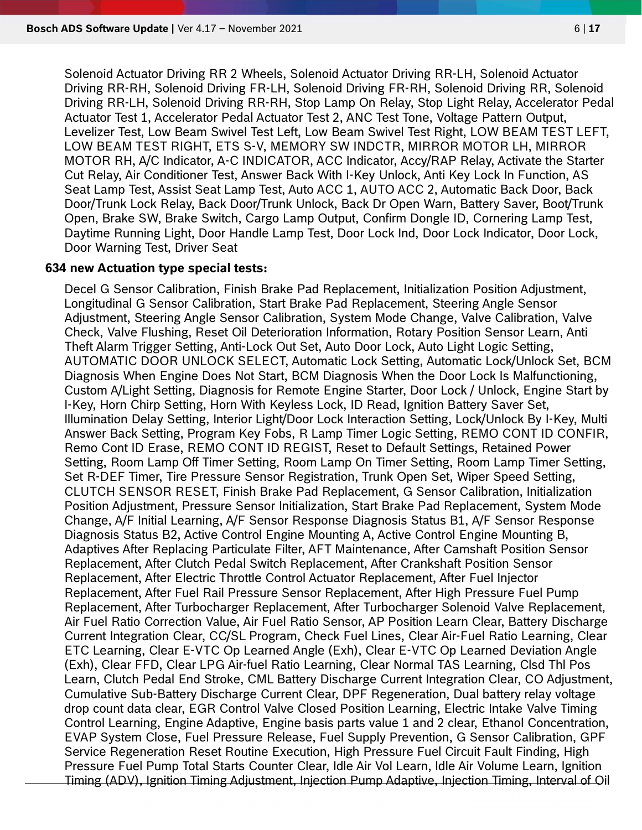Solenoid Actuator Driving RR 2 Wheels, Solenoid Actuator Driving RR-LH, Solenoid Actuator Driving RR-RH, Solenoid Driving FR-LH, Solenoid Driving FR-RH, Solenoid Driving RR, Solenoid Driving RR-LH, Solenoid Driving RR-RH, Stop Lamp On Relay, Stop Light Relay, Accelerator Pedal Actuator Test 1, Accelerator Pedal Actuator Test 2, ANC Test Tone, Voltage Pattern Output, Levelizer Test, Low Beam Swivel Test Left, Low Beam Swivel Test Right, LOW BEAM TEST LEFT, LOW BEAM TEST RIGHT, ETS S-V, MEMORY SW INDCTR, MIRROR MOTOR LH, MIRROR MOTOR RH, A/C Indicator, A-C INDICATOR, ACC Indicator, Accy/RAP Relay, Activate the Starter Cut Relay, Air Conditioner Test, Answer Back With I-Key Unlock, Anti Key Lock In Function, AS Seat Lamp Test, Assist Seat Lamp Test, Auto ACC 1, AUTO ACC 2, Automatic Back Door, Back Door/Trunk Lock Relay, Back Door/Trunk Unlock, Back Dr Open Warn, Battery Saver, Boot/Trunk Open, Brake SW, Brake Switch, Cargo Lamp Output, Confirm Dongle ID, Cornering Lamp Test, Daytime Running Light, Door Handle Lamp Test, Door Lock Ind, Door Lock Indicator, Door Lock, Door Warning Test, Driver Seat

#### 634 new Actuation type special tests:

Decel G Sensor Calibration, Finish Brake Pad Replacement, Initialization Position Adjustment, Longitudinal G Sensor Calibration, Start Brake Pad Replacement, Steering Angle Sensor Adjustment, Steering Angle Sensor Calibration, System Mode Change, Valve Calibration, Valve Check, Valve Flushing, Reset Oil Deterioration Information, Rotary Position Sensor Learn, Anti Theft Alarm Trigger Setting, Anti-Lock Out Set, Auto Door Lock, Auto Light Logic Setting, AUTOMATIC DOOR UNLOCK SELECT, Automatic Lock Setting, Automatic Lock/Unlock Set, BCM Diagnosis When Engine Does Not Start, BCM Diagnosis When the Door Lock Is Malfunctioning, Custom A/Light Setting, Diagnosis for Remote Engine Starter, Door Lock / Unlock, Engine Start by I-Key, Horn Chirp Setting, Horn With Keyless Lock, ID Read, Ignition Battery Saver Set, Illumination Delay Setting, Interior Light/Door Lock Interaction Setting, Lock/Unlock By I-Key, Multi Answer Back Setting, Program Key Fobs, R Lamp Timer Logic Setting, REMO CONT ID CONFIR, Remo Cont ID Erase, REMO CONT ID REGIST, Reset to Default Settings, Retained Power Setting, Room Lamp Off Timer Setting, Room Lamp On Timer Setting, Room Lamp Timer Setting, Set R-DEF Timer, Tire Pressure Sensor Registration, Trunk Open Set, Wiper Speed Setting, CLUTCH SENSOR RESET, Finish Brake Pad Replacement, G Sensor Calibration, Initialization Position Adjustment, Pressure Sensor Initialization, Start Brake Pad Replacement, System Mode Change, A/F Initial Learning, A/F Sensor Response Diagnosis Status B1, A/F Sensor Response Diagnosis Status B2, Active Control Engine Mounting A, Active Control Engine Mounting B, Adaptives After Replacing Particulate Filter, AFT Maintenance, After Camshaft Position Sensor Replacement, After Clutch Pedal Switch Replacement, After Crankshaft Position Sensor Replacement, After Electric Throttle Control Actuator Replacement, After Fuel Injector Replacement, After Fuel Rail Pressure Sensor Replacement, After High Pressure Fuel Pump Replacement, After Turbocharger Replacement, After Turbocharger Solenoid Valve Replacement, Air Fuel Ratio Correction Value, Air Fuel Ratio Sensor, AP Position Learn Clear, Battery Discharge Current Integration Clear, CC/SL Program, Check Fuel Lines, Clear Air-Fuel Ratio Learning, Clear ETC Learning, Clear E-VTC Op Learned Angle (Exh), Clear E-VTC Op Learned Deviation Angle (Exh), Clear FFD, Clear LPG Air-fuel Ratio Learning, Clear Normal TAS Learning, Clsd Thl Pos Learn, Clutch Pedal End Stroke, CML Battery Discharge Current Integration Clear, CO Adjustment, Cumulative Sub-Battery Discharge Current Clear, DPF Regeneration, Dual battery relay voltage drop count data clear, EGR Control Valve Closed Position Learning, Electric Intake Valve Timing Control Learning, Engine Adaptive, Engine basis parts value 1 and 2 clear, Ethanol Concentration, EVAP System Close, Fuel Pressure Release, Fuel Supply Prevention, G Sensor Calibration, GPF Service Regeneration Reset Routine Execution, High Pressure Fuel Circuit Fault Finding, High Pressure Fuel Pump Total Starts Counter Clear, Idle Air Vol Learn, Idle Air Volume Learn, Ignition Timing (ADV), Ignition Timing Adjustment, Injection Pump Adaptive, Injection Timing, Interval of Oil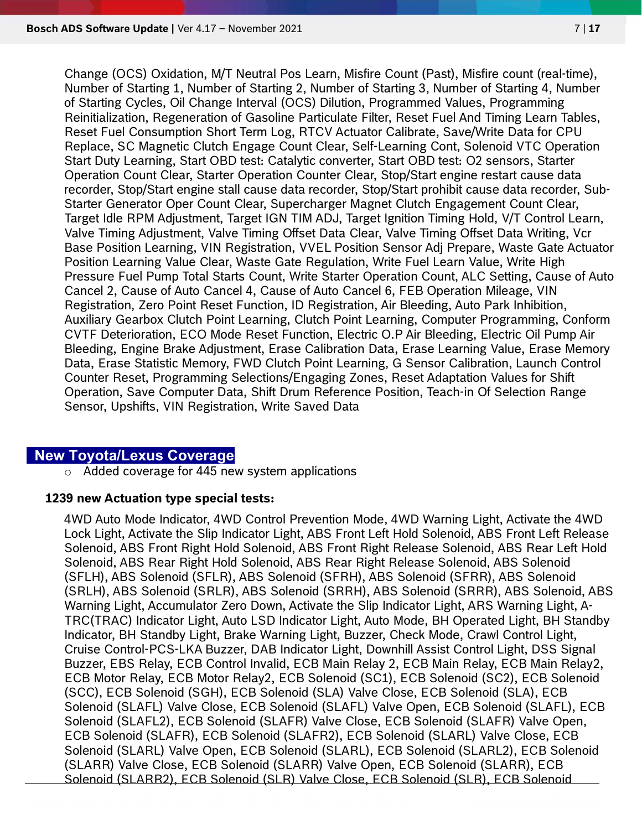Change (OCS) Oxidation, M/T Neutral Pos Learn, Misfire Count (Past), Misfire count (real-time), Number of Starting 1, Number of Starting 2, Number of Starting 3, Number of Starting 4, Number of Starting Cycles, Oil Change Interval (OCS) Dilution, Programmed Values, Programming Reinitialization, Regeneration of Gasoline Particulate Filter, Reset Fuel And Timing Learn Tables, Reset Fuel Consumption Short Term Log, RTCV Actuator Calibrate, Save/Write Data for CPU Replace, SC Magnetic Clutch Engage Count Clear, Self-Learning Cont, Solenoid VTC Operation Start Duty Learning, Start OBD test: Catalytic converter, Start OBD test: O2 sensors, Starter Operation Count Clear, Starter Operation Counter Clear, Stop/Start engine restart cause data recorder, Stop/Start engine stall cause data recorder, Stop/Start prohibit cause data recorder, Sub-Starter Generator Oper Count Clear, Supercharger Magnet Clutch Engagement Count Clear, Target Idle RPM Adjustment, Target IGN TIM ADJ, Target Ignition Timing Hold, V/T Control Learn, Valve Timing Adjustment, Valve Timing Offset Data Clear, Valve Timing Offset Data Writing, Vcr Base Position Learning, VIN Registration, VVEL Position Sensor Adj Prepare, Waste Gate Actuator Position Learning Value Clear, Waste Gate Regulation, Write Fuel Learn Value, Write High Pressure Fuel Pump Total Starts Count, Write Starter Operation Count, ALC Setting, Cause of Auto Cancel 2, Cause of Auto Cancel 4, Cause of Auto Cancel 6, FEB Operation Mileage, VIN Registration, Zero Point Reset Function, ID Registration, Air Bleeding, Auto Park Inhibition, Auxiliary Gearbox Clutch Point Learning, Clutch Point Learning, Computer Programming, Conform CVTF Deterioration, ECO Mode Reset Function, Electric O.P Air Bleeding, Electric Oil Pump Air Bleeding, Engine Brake Adjustment, Erase Calibration Data, Erase Learning Value, Erase Memory Data, Erase Statistic Memory, FWD Clutch Point Learning, G Sensor Calibration, Launch Control Counter Reset, Programming Selections/Engaging Zones, Reset Adaptation Values for Shift Operation, Save Computer Data, Shift Drum Reference Position, Teach-in Of Selection Range Sensor, Upshifts, VIN Registration, Write Saved Data

## New Toyota/Lexus Coverage

o Added coverage for 445 new system applications

#### 1239 new Actuation type special tests:

4WD Auto Mode Indicator, 4WD Control Prevention Mode, 4WD Warning Light, Activate the 4WD Lock Light, Activate the Slip Indicator Light, ABS Front Left Hold Solenoid, ABS Front Left Release Solenoid, ABS Front Right Hold Solenoid, ABS Front Right Release Solenoid, ABS Rear Left Hold Solenoid, ABS Rear Right Hold Solenoid, ABS Rear Right Release Solenoid, ABS Solenoid (SFLH), ABS Solenoid (SFLR), ABS Solenoid (SFRH), ABS Solenoid (SFRR), ABS Solenoid (SRLH), ABS Solenoid (SRLR), ABS Solenoid (SRRH), ABS Solenoid (SRRR), ABS Solenoid, ABS Warning Light, Accumulator Zero Down, Activate the Slip Indicator Light, ARS Warning Light, A-TRC(TRAC) Indicator Light, Auto LSD Indicator Light, Auto Mode, BH Operated Light, BH Standby Indicator, BH Standby Light, Brake Warning Light, Buzzer, Check Mode, Crawl Control Light, Cruise Control-PCS-LKA Buzzer, DAB Indicator Light, Downhill Assist Control Light, DSS Signal Buzzer, EBS Relay, ECB Control Invalid, ECB Main Relay 2, ECB Main Relay, ECB Main Relay2, ECB Motor Relay, ECB Motor Relay2, ECB Solenoid (SC1), ECB Solenoid (SC2), ECB Solenoid (SCC), ECB Solenoid (SGH), ECB Solenoid (SLA) Valve Close, ECB Solenoid (SLA), ECB Solenoid (SLAFL) Valve Close, ECB Solenoid (SLAFL) Valve Open, ECB Solenoid (SLAFL), ECB Solenoid (SLAFL2), ECB Solenoid (SLAFR) Valve Close, ECB Solenoid (SLAFR) Valve Open, ECB Solenoid (SLAFR), ECB Solenoid (SLAFR2), ECB Solenoid (SLARL) Valve Close, ECB Solenoid (SLARL) Valve Open, ECB Solenoid (SLARL), ECB Solenoid (SLARL2), ECB Solenoid (SLARR) Valve Close, ECB Solenoid (SLARR) Valve Open, ECB Solenoid (SLARR), ECB Solenoid (SLARR2), ECB Solenoid (SLR) Valve Close, ECB Solenoid (SLR), ECB Solenoid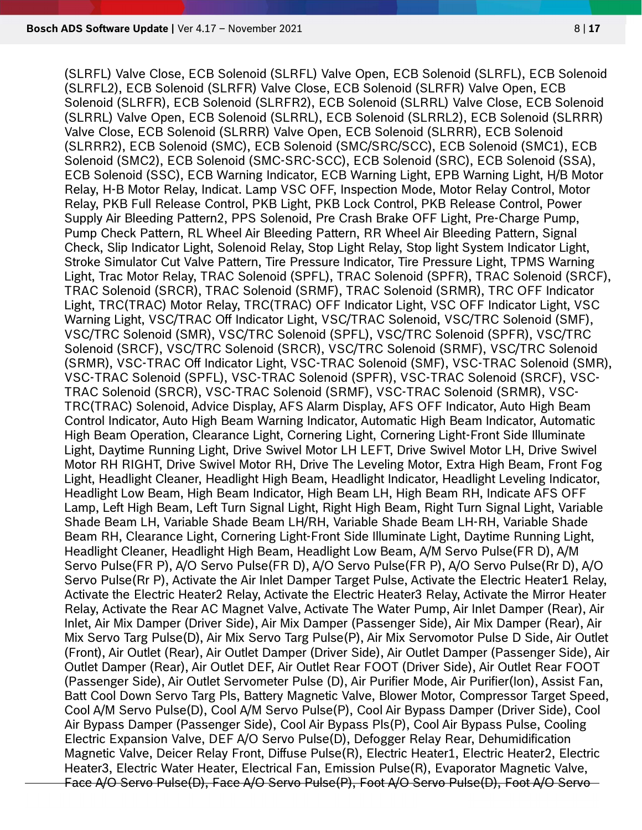(SLRFL) Valve Close, ECB Solenoid (SLRFL) Valve Open, ECB Solenoid (SLRFL), ECB Solenoid (SLRFL2), ECB Solenoid (SLRFR) Valve Close, ECB Solenoid (SLRFR) Valve Open, ECB Solenoid (SLRFR), ECB Solenoid (SLRFR2), ECB Solenoid (SLRRL) Valve Close, ECB Solenoid (SLRRL) Valve Open, ECB Solenoid (SLRRL), ECB Solenoid (SLRRL2), ECB Solenoid (SLRRR) Valve Close, ECB Solenoid (SLRRR) Valve Open, ECB Solenoid (SLRRR), ECB Solenoid (SLRRR2), ECB Solenoid (SMC), ECB Solenoid (SMC/SRC/SCC), ECB Solenoid (SMC1), ECB Solenoid (SMC2), ECB Solenoid (SMC-SRC-SCC), ECB Solenoid (SRC), ECB Solenoid (SSA), ECB Solenoid (SSC), ECB Warning Indicator, ECB Warning Light, EPB Warning Light, H/B Motor Relay, H-B Motor Relay, Indicat. Lamp VSC OFF, Inspection Mode, Motor Relay Control, Motor Relay, PKB Full Release Control, PKB Light, PKB Lock Control, PKB Release Control, Power Supply Air Bleeding Pattern2, PPS Solenoid, Pre Crash Brake OFF Light, Pre-Charge Pump, Pump Check Pattern, RL Wheel Air Bleeding Pattern, RR Wheel Air Bleeding Pattern, Signal Check, Slip Indicator Light, Solenoid Relay, Stop Light Relay, Stop light System Indicator Light, Stroke Simulator Cut Valve Pattern, Tire Pressure Indicator, Tire Pressure Light, TPMS Warning Light, Trac Motor Relay, TRAC Solenoid (SPFL), TRAC Solenoid (SPFR), TRAC Solenoid (SRCF), TRAC Solenoid (SRCR), TRAC Solenoid (SRMF), TRAC Solenoid (SRMR), TRC OFF Indicator Light, TRC(TRAC) Motor Relay, TRC(TRAC) OFF Indicator Light, VSC OFF Indicator Light, VSC Warning Light, VSC/TRAC Off Indicator Light, VSC/TRAC Solenoid, VSC/TRC Solenoid (SMF), VSC/TRC Solenoid (SMR), VSC/TRC Solenoid (SPFL), VSC/TRC Solenoid (SPFR), VSC/TRC Solenoid (SRCF), VSC/TRC Solenoid (SRCR), VSC/TRC Solenoid (SRMF), VSC/TRC Solenoid (SRMR), VSC-TRAC Off Indicator Light, VSC-TRAC Solenoid (SMF), VSC-TRAC Solenoid (SMR), VSC-TRAC Solenoid (SPFL), VSC-TRAC Solenoid (SPFR), VSC-TRAC Solenoid (SRCF), VSC-TRAC Solenoid (SRCR), VSC-TRAC Solenoid (SRMF), VSC-TRAC Solenoid (SRMR), VSC-TRC(TRAC) Solenoid, Advice Display, AFS Alarm Display, AFS OFF Indicator, Auto High Beam Control Indicator, Auto High Beam Warning Indicator, Automatic High Beam Indicator, Automatic High Beam Operation, Clearance Light, Cornering Light, Cornering Light-Front Side Illuminate Light, Daytime Running Light, Drive Swivel Motor LH LEFT, Drive Swivel Motor LH, Drive Swivel Motor RH RIGHT, Drive Swivel Motor RH, Drive The Leveling Motor, Extra High Beam, Front Fog Light, Headlight Cleaner, Headlight High Beam, Headlight Indicator, Headlight Leveling Indicator, Headlight Low Beam, High Beam Indicator, High Beam LH, High Beam RH, Indicate AFS OFF Lamp, Left High Beam, Left Turn Signal Light, Right High Beam, Right Turn Signal Light, Variable Shade Beam LH, Variable Shade Beam LH/RH, Variable Shade Beam LH-RH, Variable Shade Beam RH, Clearance Light, Cornering Light-Front Side Illuminate Light, Daytime Running Light, Headlight Cleaner, Headlight High Beam, Headlight Low Beam, A/M Servo Pulse(FR D), A/M Servo Pulse(FR P), A/O Servo Pulse(FR D), A/O Servo Pulse(FR P), A/O Servo Pulse(Rr D), A/O Servo Pulse(Rr P), Activate the Air Inlet Damper Target Pulse, Activate the Electric Heater1 Relay, Activate the Electric Heater2 Relay, Activate the Electric Heater3 Relay, Activate the Mirror Heater Relay, Activate the Rear AC Magnet Valve, Activate The Water Pump, Air Inlet Damper (Rear), Air Inlet, Air Mix Damper (Driver Side), Air Mix Damper (Passenger Side), Air Mix Damper (Rear), Air Mix Servo Targ Pulse(D), Air Mix Servo Targ Pulse(P), Air Mix Servomotor Pulse D Side, Air Outlet (Front), Air Outlet (Rear), Air Outlet Damper (Driver Side), Air Outlet Damper (Passenger Side), Air Outlet Damper (Rear), Air Outlet DEF, Air Outlet Rear FOOT (Driver Side), Air Outlet Rear FOOT (Passenger Side), Air Outlet Servometer Pulse (D), Air Purifier Mode, Air Purifier(Ion), Assist Fan, Batt Cool Down Servo Targ Pls, Battery Magnetic Valve, Blower Motor, Compressor Target Speed, Cool A/M Servo Pulse(D), Cool A/M Servo Pulse(P), Cool Air Bypass Damper (Driver Side), Cool Air Bypass Damper (Passenger Side), Cool Air Bypass Pls(P), Cool Air Bypass Pulse, Cooling Electric Expansion Valve, DEF A/O Servo Pulse(D), Defogger Relay Rear, Dehumidification Magnetic Valve, Deicer Relay Front, Diffuse Pulse(R), Electric Heater1, Electric Heater2, Electric Heater3, Electric Water Heater, Electrical Fan, Emission Pulse(R), Evaporator Magnetic Valve, Face A/O Servo Pulse(D), Face A/O Servo Pulse(P), Foot A/O Servo Pulse(D), Foot A/O Servo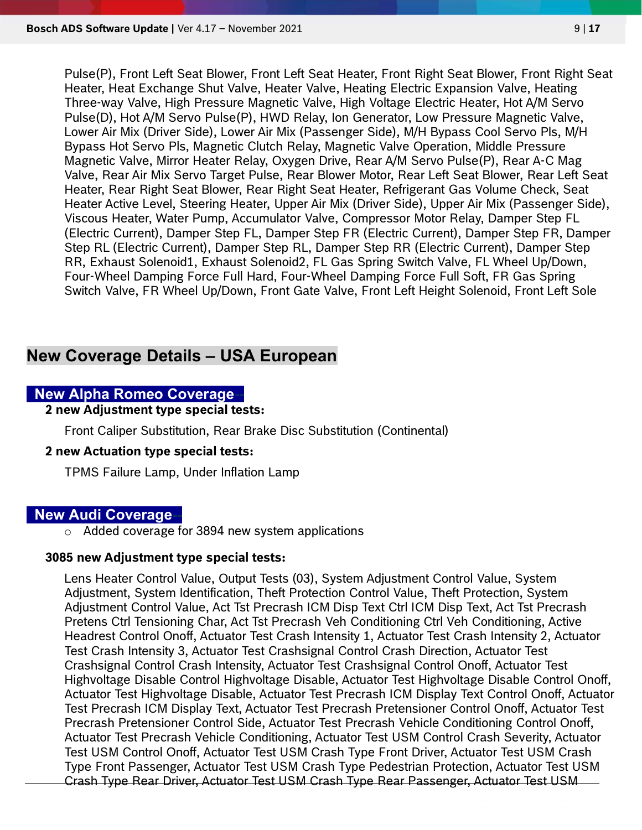Pulse(P), Front Left Seat Blower, Front Left Seat Heater, Front Right Seat Blower, Front Right Seat Heater, Heat Exchange Shut Valve, Heater Valve, Heating Electric Expansion Valve, Heating Three-way Valve, High Pressure Magnetic Valve, High Voltage Electric Heater, Hot A/M Servo Pulse(D), Hot A/M Servo Pulse(P), HWD Relay, Ion Generator, Low Pressure Magnetic Valve, Lower Air Mix (Driver Side), Lower Air Mix (Passenger Side), M/H Bypass Cool Servo Pls, M/H Bypass Hot Servo Pls, Magnetic Clutch Relay, Magnetic Valve Operation, Middle Pressure Magnetic Valve, Mirror Heater Relay, Oxygen Drive, Rear A/M Servo Pulse(P), Rear A-C Mag Valve, Rear Air Mix Servo Target Pulse, Rear Blower Motor, Rear Left Seat Blower, Rear Left Seat Heater, Rear Right Seat Blower, Rear Right Seat Heater, Refrigerant Gas Volume Check, Seat Heater Active Level, Steering Heater, Upper Air Mix (Driver Side), Upper Air Mix (Passenger Side), Viscous Heater, Water Pump, Accumulator Valve, Compressor Motor Relay, Damper Step FL (Electric Current), Damper Step FL, Damper Step FR (Electric Current), Damper Step FR, Damper Step RL (Electric Current), Damper Step RL, Damper Step RR (Electric Current), Damper Step RR, Exhaust Solenoid1, Exhaust Solenoid2, FL Gas Spring Switch Valve, FL Wheel Up/Down, Four-Wheel Damping Force Full Hard, Four-Wheel Damping Force Full Soft, FR Gas Spring Switch Valve, FR Wheel Up/Down, Front Gate Valve, Front Left Height Solenoid, Front Left Sole

## New Coverage Details – USA European

## New Alpha Romeo Coverage-

2 new Adjustment type special tests:

Front Caliper Substitution, Rear Brake Disc Substitution (Continental)

#### 2 new Actuation type special tests:

TPMS Failure Lamp, Under Inflation Lamp

## **New Audi Coverage-**

o Added coverage for 3894 new system applications

#### 3085 new Adjustment type special tests:

Lens Heater Control Value, Output Tests (03), System Adjustment Control Value, System Adjustment, System Identification, Theft Protection Control Value, Theft Protection, System Adjustment Control Value, Act Tst Precrash ICM Disp Text Ctrl ICM Disp Text, Act Tst Precrash Pretens Ctrl Tensioning Char, Act Tst Precrash Veh Conditioning Ctrl Veh Conditioning, Active Headrest Control Onoff, Actuator Test Crash Intensity 1, Actuator Test Crash Intensity 2, Actuator Test Crash Intensity 3, Actuator Test Crashsignal Control Crash Direction, Actuator Test Crashsignal Control Crash Intensity, Actuator Test Crashsignal Control Onoff, Actuator Test Highvoltage Disable Control Highvoltage Disable, Actuator Test Highvoltage Disable Control Onoff, Actuator Test Highvoltage Disable, Actuator Test Precrash ICM Display Text Control Onoff, Actuator Test Precrash ICM Display Text, Actuator Test Precrash Pretensioner Control Onoff, Actuator Test Precrash Pretensioner Control Side, Actuator Test Precrash Vehicle Conditioning Control Onoff, Actuator Test Precrash Vehicle Conditioning, Actuator Test USM Control Crash Severity, Actuator Test USM Control Onoff, Actuator Test USM Crash Type Front Driver, Actuator Test USM Crash Type Front Passenger, Actuator Test USM Crash Type Pedestrian Protection, Actuator Test USM Crash Type Rear Driver, Actuator Test USM Crash Type Rear Passenger, Actuator Test USM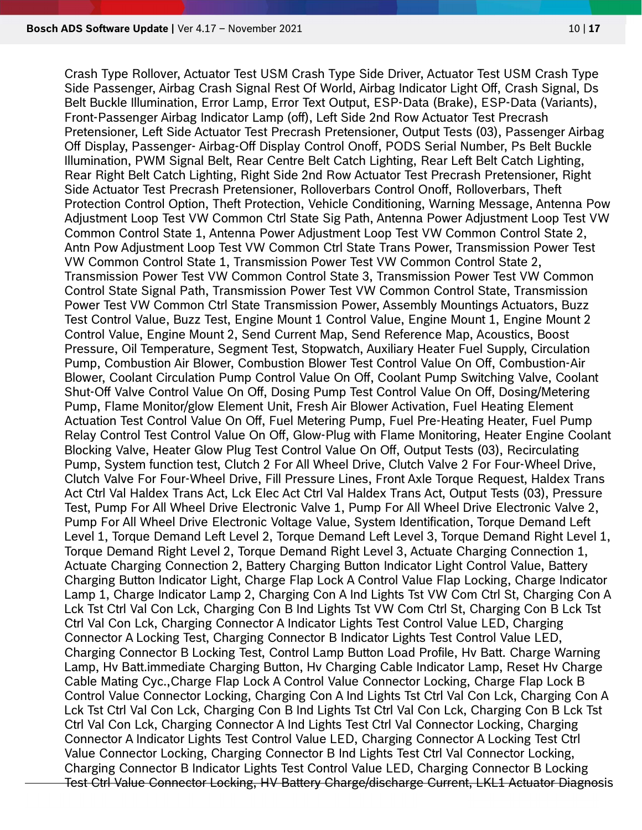Crash Type Rollover, Actuator Test USM Crash Type Side Driver, Actuator Test USM Crash Type Side Passenger, Airbag Crash Signal Rest Of World, Airbag Indicator Light Off, Crash Signal, Ds Belt Buckle Illumination, Error Lamp, Error Text Output, ESP-Data (Brake), ESP-Data (Variants), Front-Passenger Airbag Indicator Lamp (off), Left Side 2nd Row Actuator Test Precrash Pretensioner, Left Side Actuator Test Precrash Pretensioner, Output Tests (03), Passenger Airbag Off Display, Passenger- Airbag-Off Display Control Onoff, PODS Serial Number, Ps Belt Buckle Illumination, PWM Signal Belt, Rear Centre Belt Catch Lighting, Rear Left Belt Catch Lighting, Rear Right Belt Catch Lighting, Right Side 2nd Row Actuator Test Precrash Pretensioner, Right Side Actuator Test Precrash Pretensioner, Rolloverbars Control Onoff, Rolloverbars, Theft Protection Control Option, Theft Protection, Vehicle Conditioning, Warning Message, Antenna Pow Adjustment Loop Test VW Common Ctrl State Sig Path, Antenna Power Adjustment Loop Test VW Common Control State 1, Antenna Power Adjustment Loop Test VW Common Control State 2, Antn Pow Adjustment Loop Test VW Common Ctrl State Trans Power, Transmission Power Test VW Common Control State 1, Transmission Power Test VW Common Control State 2, Transmission Power Test VW Common Control State 3, Transmission Power Test VW Common Control State Signal Path, Transmission Power Test VW Common Control State, Transmission Power Test VW Common Ctrl State Transmission Power, Assembly Mountings Actuators, Buzz Test Control Value, Buzz Test, Engine Mount 1 Control Value, Engine Mount 1, Engine Mount 2 Control Value, Engine Mount 2, Send Current Map, Send Reference Map, Acoustics, Boost Pressure, Oil Temperature, Segment Test, Stopwatch, Auxiliary Heater Fuel Supply, Circulation Pump, Combustion Air Blower, Combustion Blower Test Control Value On Off, Combustion-Air Blower, Coolant Circulation Pump Control Value On Off, Coolant Pump Switching Valve, Coolant Shut-Off Valve Control Value On Off, Dosing Pump Test Control Value On Off, Dosing/Metering Pump, Flame Monitor/glow Element Unit, Fresh Air Blower Activation, Fuel Heating Element Actuation Test Control Value On Off, Fuel Metering Pump, Fuel Pre-Heating Heater, Fuel Pump Relay Control Test Control Value On Off, Glow-Plug with Flame Monitoring, Heater Engine Coolant Blocking Valve, Heater Glow Plug Test Control Value On Off, Output Tests (03), Recirculating Pump, System function test, Clutch 2 For All Wheel Drive, Clutch Valve 2 For Four-Wheel Drive, Clutch Valve For Four-Wheel Drive, Fill Pressure Lines, Front Axle Torque Request, Haldex Trans Act Ctrl Val Haldex Trans Act, Lck Elec Act Ctrl Val Haldex Trans Act, Output Tests (03), Pressure Test, Pump For All Wheel Drive Electronic Valve 1, Pump For All Wheel Drive Electronic Valve 2, Pump For All Wheel Drive Electronic Voltage Value, System Identification, Torque Demand Left Level 1, Torque Demand Left Level 2, Torque Demand Left Level 3, Torque Demand Right Level 1, Torque Demand Right Level 2, Torque Demand Right Level 3, Actuate Charging Connection 1, Actuate Charging Connection 2, Battery Charging Button Indicator Light Control Value, Battery Charging Button Indicator Light, Charge Flap Lock A Control Value Flap Locking, Charge Indicator Lamp 1, Charge Indicator Lamp 2, Charging Con A Ind Lights Tst VW Com Ctrl St, Charging Con A Lck Tst Ctrl Val Con Lck, Charging Con B Ind Lights Tst VW Com Ctrl St, Charging Con B Lck Tst Ctrl Val Con Lck, Charging Connector A Indicator Lights Test Control Value LED, Charging Connector A Locking Test, Charging Connector B Indicator Lights Test Control Value LED, Charging Connector B Locking Test, Control Lamp Button Load Profile, Hv Batt. Charge Warning Lamp, Hv Batt.immediate Charging Button, Hv Charging Cable Indicator Lamp, Reset Hv Charge Cable Mating Cyc.,Charge Flap Lock A Control Value Connector Locking, Charge Flap Lock B Control Value Connector Locking, Charging Con A Ind Lights Tst Ctrl Val Con Lck, Charging Con A Lck Tst Ctrl Val Con Lck, Charging Con B Ind Lights Tst Ctrl Val Con Lck, Charging Con B Lck Tst Ctrl Val Con Lck, Charging Connector A Ind Lights Test Ctrl Val Connector Locking, Charging Connector A Indicator Lights Test Control Value LED, Charging Connector A Locking Test Ctrl Value Connector Locking, Charging Connector B Ind Lights Test Ctrl Val Connector Locking, Charging Connector B Indicator Lights Test Control Value LED, Charging Connector B Locking Test Ctrl Value Connector Locking, HV Battery Charge/discharge Current, LKL1 Actuator Diagnosis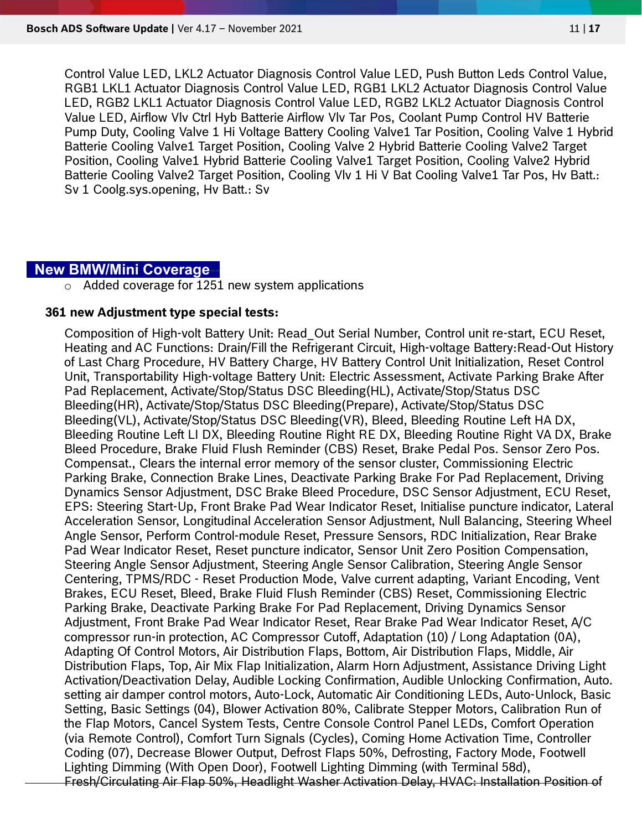Control Value LED, LKL2 Actuator Diagnosis Control Value LED, Push Button Leds Control Value, RGB1 LKL1 Actuator Diagnosis Control Value LED, RGB1 LKL2 Actuator Diagnosis Control Value LED, RGB2 LKL1 Actuator Diagnosis Control Value LED, RGB2 LKL2 Actuator Diagnosis Control Value LED, Airflow Vlv Ctrl Hyb Batterie Airflow Vlv Tar Pos, Coolant Pump Control HV Batterie Pump Duty, Cooling Valve 1 Hi Voltage Battery Cooling Valve1 Tar Position, Cooling Valve 1 Hybrid Batterie Cooling Valve1 Target Position, Cooling Valve 2 Hybrid Batterie Cooling Valve2 Target Position, Cooling Valve1 Hybrid Batterie Cooling Valve1 Target Position, Cooling Valve2 Hybrid Batterie Cooling Valve2 Target Position, Cooling Vlv 1 Hi V Bat Cooling Valve1 Tar Pos, Hv Batt.: Sv 1 Coolg.sys.opening, Hv Batt.: Sv

#### **New BMW/Mini Coverage-**

 $\circ$  Added coverage for 1251 new system applications

#### 361 new Adjustment type special tests:

Composition of High-volt Battery Unit: Read\_Out Serial Number, Control unit re-start, ECU Reset, Heating and AC Functions: Drain/Fill the Refrigerant Circuit, High-voltage Battery:Read-Out History of Last Charg Procedure, HV Battery Charge, HV Battery Control Unit Initialization, Reset Control Unit, Transportability High-voltage Battery Unit: Electric Assessment, Activate Parking Brake After Pad Replacement, Activate/Stop/Status DSC Bleeding(HL), Activate/Stop/Status DSC Bleeding(HR), Activate/Stop/Status DSC Bleeding(Prepare), Activate/Stop/Status DSC Bleeding(VL), Activate/Stop/Status DSC Bleeding(VR), Bleed, Bleeding Routine Left HA DX, Bleeding Routine Left LI DX, Bleeding Routine Right RE DX, Bleeding Routine Right VA DX, Brake Bleed Procedure, Brake Fluid Flush Reminder (CBS) Reset, Brake Pedal Pos. Sensor Zero Pos. Compensat., Clears the internal error memory of the sensor cluster, Commissioning Electric Parking Brake, Connection Brake Lines, Deactivate Parking Brake For Pad Replacement, Driving Dynamics Sensor Adjustment, DSC Brake Bleed Procedure, DSC Sensor Adjustment, ECU Reset, EPS: Steering Start-Up, Front Brake Pad Wear Indicator Reset, Initialise puncture indicator, Lateral Acceleration Sensor, Longitudinal Acceleration Sensor Adjustment, Null Balancing, Steering Wheel Angle Sensor, Perform Control-module Reset, Pressure Sensors, RDC Initialization, Rear Brake Pad Wear Indicator Reset, Reset puncture indicator, Sensor Unit Zero Position Compensation, Steering Angle Sensor Adjustment, Steering Angle Sensor Calibration, Steering Angle Sensor Centering, TPMS/RDC - Reset Production Mode, Valve current adapting, Variant Encoding, Vent Brakes, ECU Reset, Bleed, Brake Fluid Flush Reminder (CBS) Reset, Commissioning Electric Parking Brake, Deactivate Parking Brake For Pad Replacement, Driving Dynamics Sensor Adjustment, Front Brake Pad Wear Indicator Reset, Rear Brake Pad Wear Indicator Reset, A/C compressor run-in protection, AC Compressor Cutoff, Adaptation (10) / Long Adaptation (0A), Adapting Of Control Motors, Air Distribution Flaps, Bottom, Air Distribution Flaps, Middle, Air Distribution Flaps, Top, Air Mix Flap Initialization, Alarm Horn Adjustment, Assistance Driving Light Activation/Deactivation Delay, Audible Locking Confirmation, Audible Unlocking Confirmation, Auto. setting air damper control motors, Auto-Lock, Automatic Air Conditioning LEDs, Auto-Unlock, Basic Setting, Basic Settings (04), Blower Activation 80%, Calibrate Stepper Motors, Calibration Run of the Flap Motors, Cancel System Tests, Centre Console Control Panel LEDs, Comfort Operation (via Remote Control), Comfort Turn Signals (Cycles), Coming Home Activation Time, Controller Coding (07), Decrease Blower Output, Defrost Flaps 50%, Defrosting, Factory Mode, Footwell Lighting Dimming (With Open Door), Footwell Lighting Dimming (with Terminal 58d), Fresh/Circulating Air Flap 50%, Headlight Washer Activation Delay, HVAC: Installation Position of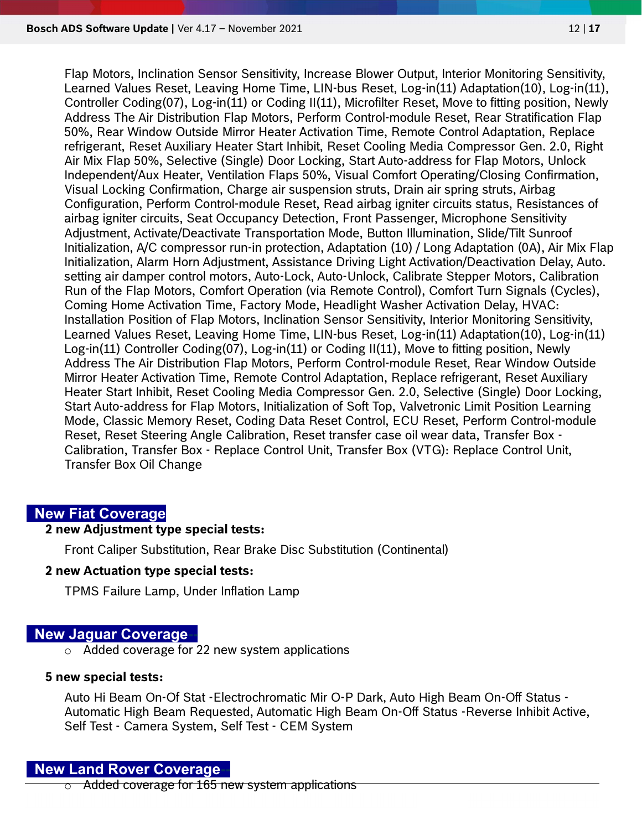Flap Motors, Inclination Sensor Sensitivity, Increase Blower Output, Interior Monitoring Sensitivity, Learned Values Reset, Leaving Home Time, LIN-bus Reset, Log-in(11) Adaptation(10), Log-in(11), Controller Coding(07), Log-in(11) or Coding II(11), Microfilter Reset, Move to fitting position, Newly Address The Air Distribution Flap Motors, Perform Control-module Reset, Rear Stratification Flap 50%, Rear Window Outside Mirror Heater Activation Time, Remote Control Adaptation, Replace refrigerant, Reset Auxiliary Heater Start Inhibit, Reset Cooling Media Compressor Gen. 2.0, Right Air Mix Flap 50%, Selective (Single) Door Locking, Start Auto-address for Flap Motors, Unlock Independent/Aux Heater, Ventilation Flaps 50%, Visual Comfort Operating/Closing Confirmation, Visual Locking Confirmation, Charge air suspension struts, Drain air spring struts, Airbag Configuration, Perform Control-module Reset, Read airbag igniter circuits status, Resistances of airbag igniter circuits, Seat Occupancy Detection, Front Passenger, Microphone Sensitivity Adjustment, Activate/Deactivate Transportation Mode, Button Illumination, Slide/Tilt Sunroof Initialization, A/C compressor run-in protection, Adaptation (10) / Long Adaptation (0A), Air Mix Flap Initialization, Alarm Horn Adjustment, Assistance Driving Light Activation/Deactivation Delay, Auto. setting air damper control motors, Auto-Lock, Auto-Unlock, Calibrate Stepper Motors, Calibration Run of the Flap Motors, Comfort Operation (via Remote Control), Comfort Turn Signals (Cycles), Coming Home Activation Time, Factory Mode, Headlight Washer Activation Delay, HVAC: Installation Position of Flap Motors, Inclination Sensor Sensitivity, Interior Monitoring Sensitivity, Learned Values Reset, Leaving Home Time, LIN-bus Reset, Log-in(11) Adaptation(10), Log-in(11) Log-in(11) Controller Coding(07), Log-in(11) or Coding II(11), Move to fitting position, Newly Address The Air Distribution Flap Motors, Perform Control-module Reset, Rear Window Outside Mirror Heater Activation Time, Remote Control Adaptation, Replace refrigerant, Reset Auxiliary Heater Start Inhibit, Reset Cooling Media Compressor Gen. 2.0, Selective (Single) Door Locking, Start Auto-address for Flap Motors, Initialization of Soft Top, Valvetronic Limit Position Learning Mode, Classic Memory Reset, Coding Data Reset Control, ECU Reset, Perform Control-module Reset, Reset Steering Angle Calibration, Reset transfer case oil wear data, Transfer Box - Calibration, Transfer Box - Replace Control Unit, Transfer Box (VTG): Replace Control Unit, Transfer Box Oil Change

## New Fiat Coverage

#### 2 new Adjustment type special tests:

Front Caliper Substitution, Rear Brake Disc Substitution (Continental)

#### 2 new Actuation type special tests:

TPMS Failure Lamp, Under Inflation Lamp

#### **New Jaquar Coverage-**

o Added coverage for 22 new system applications

#### 5 new special tests:

Auto Hi Beam On-Of Stat -Electrochromatic Mir O-P Dark, Auto High Beam On-Off Status - Automatic High Beam Requested, Automatic High Beam On-Off Status -Reverse Inhibit Active, Self Test - Camera System, Self Test - CEM System

## **New Land Rover Coverage-**

 $\circ$  Added coverage for 165 new system applications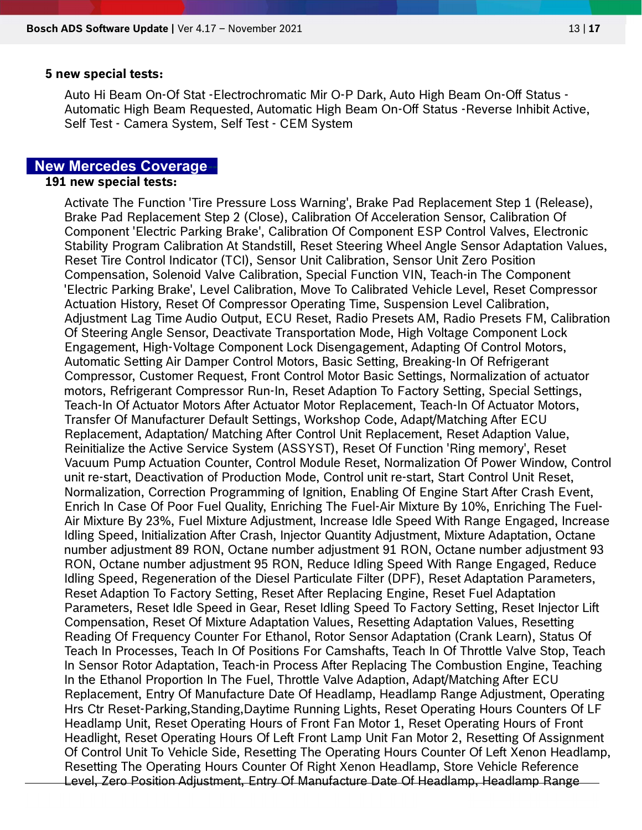#### 5 new special tests:

Auto Hi Beam On-Of Stat -Electrochromatic Mir O-P Dark, Auto High Beam On-Off Status - Automatic High Beam Requested, Automatic High Beam On-Off Status -Reverse Inhibit Active, Self Test - Camera System, Self Test - CEM System

## **New Mercedes Coverage**

#### 191 new special tests:

Activate The Function 'Tire Pressure Loss Warning', Brake Pad Replacement Step 1 (Release), Brake Pad Replacement Step 2 (Close), Calibration Of Acceleration Sensor, Calibration Of Component 'Electric Parking Brake', Calibration Of Component ESP Control Valves, Electronic Stability Program Calibration At Standstill, Reset Steering Wheel Angle Sensor Adaptation Values, Reset Tire Control Indicator (TCI), Sensor Unit Calibration, Sensor Unit Zero Position Compensation, Solenoid Valve Calibration, Special Function VIN, Teach-in The Component 'Electric Parking Brake', Level Calibration, Move To Calibrated Vehicle Level, Reset Compressor Actuation History, Reset Of Compressor Operating Time, Suspension Level Calibration, Adjustment Lag Time Audio Output, ECU Reset, Radio Presets AM, Radio Presets FM, Calibration Of Steering Angle Sensor, Deactivate Transportation Mode, High Voltage Component Lock Engagement, High-Voltage Component Lock Disengagement, Adapting Of Control Motors, Automatic Setting Air Damper Control Motors, Basic Setting, Breaking-In Of Refrigerant Compressor, Customer Request, Front Control Motor Basic Settings, Normalization of actuator motors, Refrigerant Compressor Run-In, Reset Adaption To Factory Setting, Special Settings, Teach-In Of Actuator Motors After Actuator Motor Replacement, Teach-In Of Actuator Motors, Transfer Of Manufacturer Default Settings, Workshop Code, Adapt/Matching After ECU Replacement, Adaptation/ Matching After Control Unit Replacement, Reset Adaption Value, Reinitialize the Active Service System (ASSYST), Reset Of Function 'Ring memory', Reset Vacuum Pump Actuation Counter, Control Module Reset, Normalization Of Power Window, Control unit re-start, Deactivation of Production Mode, Control unit re-start, Start Control Unit Reset, Normalization, Correction Programming of Ignition, Enabling Of Engine Start After Crash Event, Enrich In Case Of Poor Fuel Quality, Enriching The Fuel-Air Mixture By 10%, Enriching The Fuel-Air Mixture By 23%, Fuel Mixture Adjustment, Increase Idle Speed With Range Engaged, Increase Idling Speed, Initialization After Crash, Injector Quantity Adjustment, Mixture Adaptation, Octane number adjustment 89 RON, Octane number adjustment 91 RON, Octane number adjustment 93 RON, Octane number adjustment 95 RON, Reduce Idling Speed With Range Engaged, Reduce Idling Speed, Regeneration of the Diesel Particulate Filter (DPF), Reset Adaptation Parameters, Reset Adaption To Factory Setting, Reset After Replacing Engine, Reset Fuel Adaptation Parameters, Reset Idle Speed in Gear, Reset Idling Speed To Factory Setting, Reset Injector Lift Compensation, Reset Of Mixture Adaptation Values, Resetting Adaptation Values, Resetting Reading Of Frequency Counter For Ethanol, Rotor Sensor Adaptation (Crank Learn), Status Of Teach In Processes, Teach In Of Positions For Camshafts, Teach In Of Throttle Valve Stop, Teach In Sensor Rotor Adaptation, Teach-in Process After Replacing The Combustion Engine, Teaching In the Ethanol Proportion In The Fuel, Throttle Valve Adaption, Adapt/Matching After ECU Replacement, Entry Of Manufacture Date Of Headlamp, Headlamp Range Adjustment, Operating Hrs Ctr Reset-Parking,Standing,Daytime Running Lights, Reset Operating Hours Counters Of LF Headlamp Unit, Reset Operating Hours of Front Fan Motor 1, Reset Operating Hours of Front Headlight, Reset Operating Hours Of Left Front Lamp Unit Fan Motor 2, Resetting Of Assignment Of Control Unit To Vehicle Side, Resetting The Operating Hours Counter Of Left Xenon Headlamp, Resetting The Operating Hours Counter Of Right Xenon Headlamp, Store Vehicle Reference Level, Zero Position Adjustment, Entry Of Manufacture Date Of Headlamp, Headlamp Range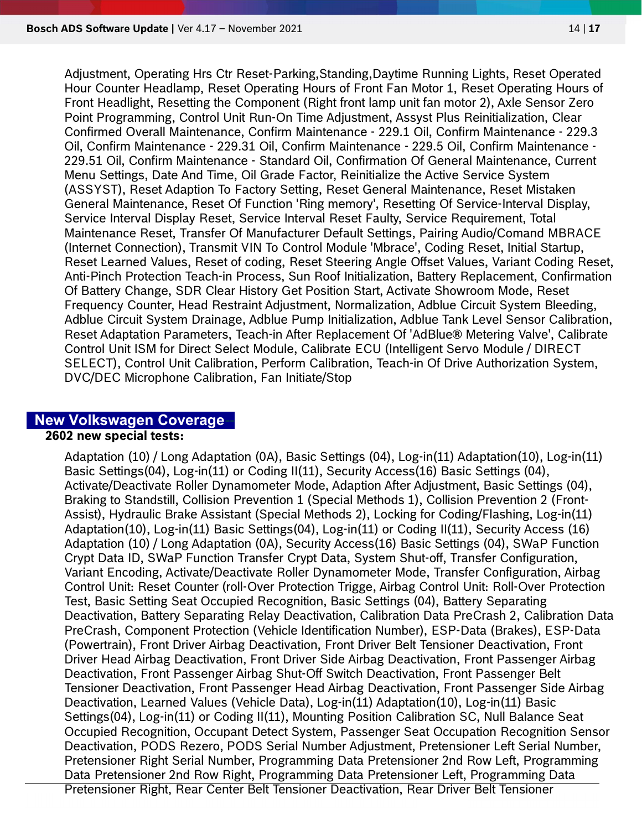Adjustment, Operating Hrs Ctr Reset-Parking,Standing,Daytime Running Lights, Reset Operated Hour Counter Headlamp, Reset Operating Hours of Front Fan Motor 1, Reset Operating Hours of Front Headlight, Resetting the Component (Right front lamp unit fan motor 2), Axle Sensor Zero Point Programming, Control Unit Run-On Time Adjustment, Assyst Plus Reinitialization, Clear Confirmed Overall Maintenance, Confirm Maintenance - 229.1 Oil, Confirm Maintenance - 229.3 Oil, Confirm Maintenance - 229.31 Oil, Confirm Maintenance - 229.5 Oil, Confirm Maintenance - 229.51 Oil, Confirm Maintenance - Standard Oil, Confirmation Of General Maintenance, Current Menu Settings, Date And Time, Oil Grade Factor, Reinitialize the Active Service System (ASSYST), Reset Adaption To Factory Setting, Reset General Maintenance, Reset Mistaken General Maintenance, Reset Of Function 'Ring memory', Resetting Of Service-Interval Display, Service Interval Display Reset, Service Interval Reset Faulty, Service Requirement, Total Maintenance Reset, Transfer Of Manufacturer Default Settings, Pairing Audio/Comand MBRACE (Internet Connection), Transmit VIN To Control Module 'Mbrace', Coding Reset, Initial Startup, Reset Learned Values, Reset of coding, Reset Steering Angle Offset Values, Variant Coding Reset, Anti-Pinch Protection Teach-in Process, Sun Roof Initialization, Battery Replacement, Confirmation Of Battery Change, SDR Clear History Get Position Start, Activate Showroom Mode, Reset Frequency Counter, Head Restraint Adjustment, Normalization, Adblue Circuit System Bleeding, Adblue Circuit System Drainage, Adblue Pump Initialization, Adblue Tank Level Sensor Calibration, Reset Adaptation Parameters, Teach-in After Replacement Of 'AdBlue® Metering Valve', Calibrate Control Unit ISM for Direct Select Module, Calibrate ECU (Intelligent Servo Module / DIRECT SELECT), Control Unit Calibration, Perform Calibration, Teach-in Of Drive Authorization System, DVC/DEC Microphone Calibration, Fan Initiate/Stop

#### **New Volkswagen Coverage-**

#### 2602 new special tests:

Adaptation (10) / Long Adaptation (0A), Basic Settings (04), Log-in(11) Adaptation(10), Log-in(11) Basic Settings(04), Log-in(11) or Coding II(11), Security Access(16) Basic Settings (04), Activate/Deactivate Roller Dynamometer Mode, Adaption After Adjustment, Basic Settings (04), Braking to Standstill, Collision Prevention 1 (Special Methods 1), Collision Prevention 2 (Front-Assist), Hydraulic Brake Assistant (Special Methods 2), Locking for Coding/Flashing, Log-in(11) Adaptation(10), Log-in(11) Basic Settings(04), Log-in(11) or Coding II(11), Security Access (16) Adaptation (10) / Long Adaptation (0A), Security Access(16) Basic Settings (04), SWaP Function Crypt Data ID, SWaP Function Transfer Crypt Data, System Shut-off, Transfer Configuration, Variant Encoding, Activate/Deactivate Roller Dynamometer Mode, Transfer Configuration, Airbag Control Unit: Reset Counter (roll-Over Protection Trigge, Airbag Control Unit: Roll-Over Protection Test, Basic Setting Seat Occupied Recognition, Basic Settings (04), Battery Separating Deactivation, Battery Separating Relay Deactivation, Calibration Data PreCrash 2, Calibration Data PreCrash, Component Protection (Vehicle Identification Number), ESP-Data (Brakes), ESP-Data (Powertrain), Front Driver Airbag Deactivation, Front Driver Belt Tensioner Deactivation, Front Driver Head Airbag Deactivation, Front Driver Side Airbag Deactivation, Front Passenger Airbag Deactivation, Front Passenger Airbag Shut-Off Switch Deactivation, Front Passenger Belt Tensioner Deactivation, Front Passenger Head Airbag Deactivation, Front Passenger Side Airbag Deactivation, Learned Values (Vehicle Data), Log-in(11) Adaptation(10), Log-in(11) Basic Settings(04), Log-in(11) or Coding II(11), Mounting Position Calibration SC, Null Balance Seat Occupied Recognition, Occupant Detect System, Passenger Seat Occupation Recognition Sensor Deactivation, PODS Rezero, PODS Serial Number Adjustment, Pretensioner Left Serial Number, Pretensioner Right Serial Number, Programming Data Pretensioner 2nd Row Left, Programming Data Pretensioner 2nd Row Right, Programming Data Pretensioner Left, Programming Data Pretensioner Right, Rear Center Belt Tensioner Deactivation, Rear Driver Belt Tensioner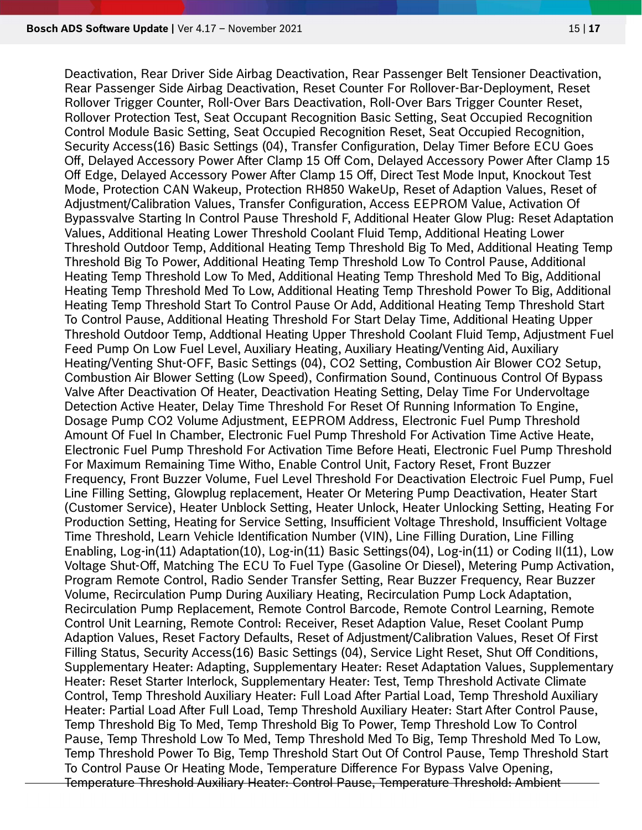Deactivation, Rear Driver Side Airbag Deactivation, Rear Passenger Belt Tensioner Deactivation, Rear Passenger Side Airbag Deactivation, Reset Counter For Rollover-Bar-Deployment, Reset Rollover Trigger Counter, Roll-Over Bars Deactivation, Roll-Over Bars Trigger Counter Reset, Rollover Protection Test, Seat Occupant Recognition Basic Setting, Seat Occupied Recognition Control Module Basic Setting, Seat Occupied Recognition Reset, Seat Occupied Recognition, Security Access(16) Basic Settings (04), Transfer Configuration, Delay Timer Before ECU Goes Off, Delayed Accessory Power After Clamp 15 Off Com, Delayed Accessory Power After Clamp 15 Off Edge, Delayed Accessory Power After Clamp 15 Off, Direct Test Mode Input, Knockout Test Mode, Protection CAN Wakeup, Protection RH850 WakeUp, Reset of Adaption Values, Reset of Adjustment/Calibration Values, Transfer Configuration, Access EEPROM Value, Activation Of Bypassvalve Starting In Control Pause Threshold F, Additional Heater Glow Plug: Reset Adaptation Values, Additional Heating Lower Threshold Coolant Fluid Temp, Additional Heating Lower Threshold Outdoor Temp, Additional Heating Temp Threshold Big To Med, Additional Heating Temp Threshold Big To Power, Additional Heating Temp Threshold Low To Control Pause, Additional Heating Temp Threshold Low To Med, Additional Heating Temp Threshold Med To Big, Additional Heating Temp Threshold Med To Low, Additional Heating Temp Threshold Power To Big, Additional Heating Temp Threshold Start To Control Pause Or Add, Additional Heating Temp Threshold Start To Control Pause, Additional Heating Threshold For Start Delay Time, Additional Heating Upper Threshold Outdoor Temp, Addtional Heating Upper Threshold Coolant Fluid Temp, Adjustment Fuel Feed Pump On Low Fuel Level, Auxiliary Heating, Auxiliary Heating/Venting Aid, Auxiliary Heating/Venting Shut-OFF, Basic Settings (04), CO2 Setting, Combustion Air Blower CO2 Setup, Combustion Air Blower Setting (Low Speed), Confirmation Sound, Continuous Control Of Bypass Valve After Deactivation Of Heater, Deactivation Heating Setting, Delay Time For Undervoltage Detection Active Heater, Delay Time Threshold For Reset Of Running Information To Engine, Dosage Pump CO2 Volume Adjustment, EEPROM Address, Electronic Fuel Pump Threshold Amount Of Fuel In Chamber, Electronic Fuel Pump Threshold For Activation Time Active Heate, Electronic Fuel Pump Threshold For Activation Time Before Heati, Electronic Fuel Pump Threshold For Maximum Remaining Time Witho, Enable Control Unit, Factory Reset, Front Buzzer Frequency, Front Buzzer Volume, Fuel Level Threshold For Deactivation Electroic Fuel Pump, Fuel Line Filling Setting, Glowplug replacement, Heater Or Metering Pump Deactivation, Heater Start (Customer Service), Heater Unblock Setting, Heater Unlock, Heater Unlocking Setting, Heating For Production Setting, Heating for Service Setting, Insufficient Voltage Threshold, Insufficient Voltage Time Threshold, Learn Vehicle Identification Number (VIN), Line Filling Duration, Line Filling Enabling, Log-in(11) Adaptation(10), Log-in(11) Basic Settings(04), Log-in(11) or Coding II(11), Low Voltage Shut-Off, Matching The ECU To Fuel Type (Gasoline Or Diesel), Metering Pump Activation, Program Remote Control, Radio Sender Transfer Setting, Rear Buzzer Frequency, Rear Buzzer Volume, Recirculation Pump During Auxiliary Heating, Recirculation Pump Lock Adaptation, Recirculation Pump Replacement, Remote Control Barcode, Remote Control Learning, Remote Control Unit Learning, Remote Control: Receiver, Reset Adaption Value, Reset Coolant Pump Adaption Values, Reset Factory Defaults, Reset of Adjustment/Calibration Values, Reset Of First Filling Status, Security Access(16) Basic Settings (04), Service Light Reset, Shut Off Conditions, Supplementary Heater: Adapting, Supplementary Heater: Reset Adaptation Values, Supplementary Heater: Reset Starter Interlock, Supplementary Heater: Test, Temp Threshold Activate Climate Control, Temp Threshold Auxiliary Heater: Full Load After Partial Load, Temp Threshold Auxiliary Heater: Partial Load After Full Load, Temp Threshold Auxiliary Heater: Start After Control Pause, Temp Threshold Big To Med, Temp Threshold Big To Power, Temp Threshold Low To Control Pause, Temp Threshold Low To Med, Temp Threshold Med To Big, Temp Threshold Med To Low, Temp Threshold Power To Big, Temp Threshold Start Out Of Control Pause, Temp Threshold Start To Control Pause Or Heating Mode, Temperature Difference For Bypass Valve Opening, Temperature Threshold Auxiliary Heater: Control Pause, Temperature Threshold: Ambient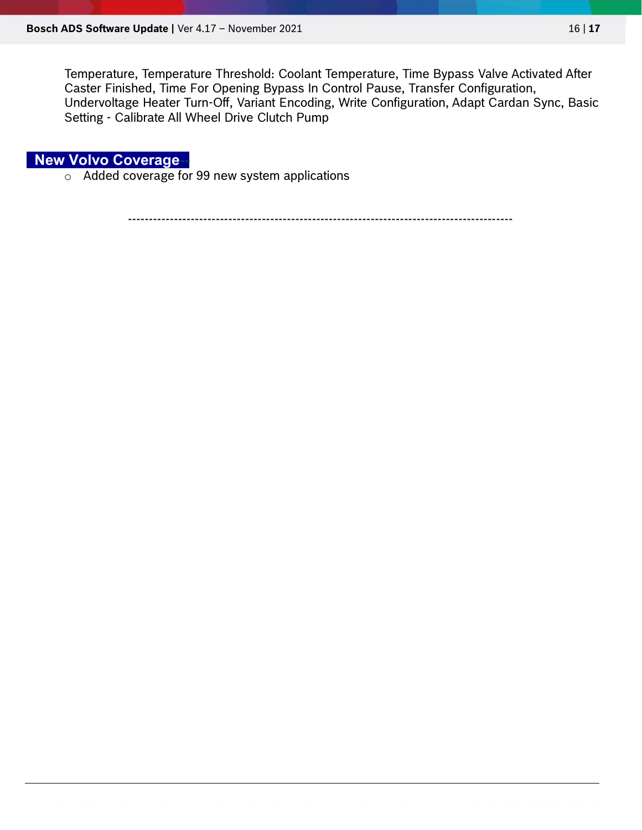Temperature, Temperature Threshold: Coolant Temperature, Time Bypass Valve Activated After Caster Finished, Time For Opening Bypass In Control Pause, Transfer Configuration, Undervoltage Heater Turn-Off, Variant Encoding, Write Configuration, Adapt Cardan Sync, Basic Setting - Calibrate All Wheel Drive Clutch Pump

**New Volvo Coverage-**

o Added coverage for 99 new system applications

--------------------------------------------------------------------------------------------